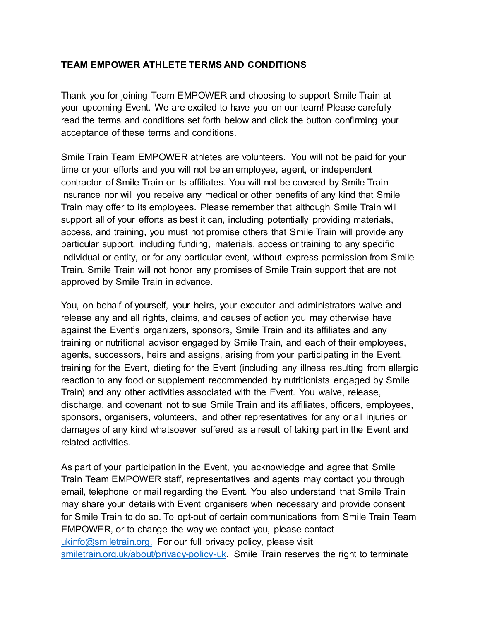## **TEAM EMPOWER ATHLETE TERMS AND CONDITIONS**

Thank you for joining Team EMPOWER and choosing to support Smile Train at your upcoming Event. We are excited to have you on our team! Please carefully read the terms and conditions set forth below and click the button confirming your acceptance of these terms and conditions.

Smile Train Team EMPOWER athletes are volunteers. You will not be paid for your time or your efforts and you will not be an employee, agent, or independent contractor of Smile Train or its affiliates. You will not be covered by Smile Train insurance nor will you receive any medical or other benefits of any kind that Smile Train may offer to its employees. Please remember that although Smile Train will support all of your efforts as best it can, including potentially providing materials, access, and training, you must not promise others that Smile Train will provide any particular support, including funding, materials, access or training to any specific individual or entity, or for any particular event, without express permission from Smile Train. Smile Train will not honor any promises of Smile Train support that are not approved by Smile Train in advance.

You, on behalf of yourself, your heirs, your executor and administrators waive and release any and all rights, claims, and causes of action you may otherwise have against the Event's organizers, sponsors, Smile Train and its affiliates and any training or nutritional advisor engaged by Smile Train, and each of their employees, agents, successors, heirs and assigns, arising from your participating in the Event, training for the Event, dieting for the Event (including any illness resulting from allergic reaction to any food or supplement recommended by nutritionists engaged by Smile Train) and any other activities associated with the Event. You waive, release, discharge, and covenant not to sue Smile Train and its affiliates, officers, employees, sponsors, organisers, volunteers, and other representatives for any or all injuries or damages of any kind whatsoever suffered as a result of taking part in the Event and related activities.

As part of your participation in the Event, you acknowledge and agree that Smile Train Team EMPOWER staff, representatives and agents may contact you through email, telephone or mail regarding the Event. You also understand that Smile Train may share your details with Event organisers when necessary and provide consent for Smile Train to do so. To opt-out of certain communications from Smile Train Team EMPOWER, or to change the way we contact you, please contact [ukinfo@smiletrain.org.](mailto:ukinfo@smiletrain.org) For our full privacy policy, please visit [smiletrain.org.uk/about/privacy-policy-uk.](https://smiletrain.org.uk/about/privacy-policy-uk) Smile Train reserves the right to terminate